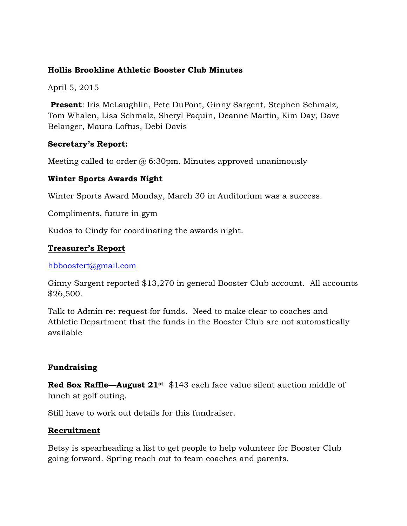# **Hollis Brookline Athletic Booster Club Minutes**

April 5, 2015

**Present**: Iris McLaughlin, Pete DuPont, Ginny Sargent, Stephen Schmalz, Tom Whalen, Lisa Schmalz, Sheryl Paquin, Deanne Martin, Kim Day, Dave Belanger, Maura Loftus, Debi Davis

## **Secretary's Report:**

Meeting called to order  $@$  6:30pm. Minutes approved unanimously

## **Winter Sports Awards Night**

Winter Sports Award Monday, March 30 in Auditorium was a success.

Compliments, future in gym

Kudos to Cindy for coordinating the awards night.

## **Treasurer's Report**

hbboostert@gmail.com

Ginny Sargent reported \$13,270 in general Booster Club account. All accounts \$26,500.

Talk to Admin re: request for funds. Need to make clear to coaches and Athletic Department that the funds in the Booster Club are not automatically available

# **Fundraising**

**Red Sox Raffle—August 21st** \$143 each face value silent auction middle of lunch at golf outing.

Still have to work out details for this fundraiser.

#### **Recruitment**

Betsy is spearheading a list to get people to help volunteer for Booster Club going forward. Spring reach out to team coaches and parents.